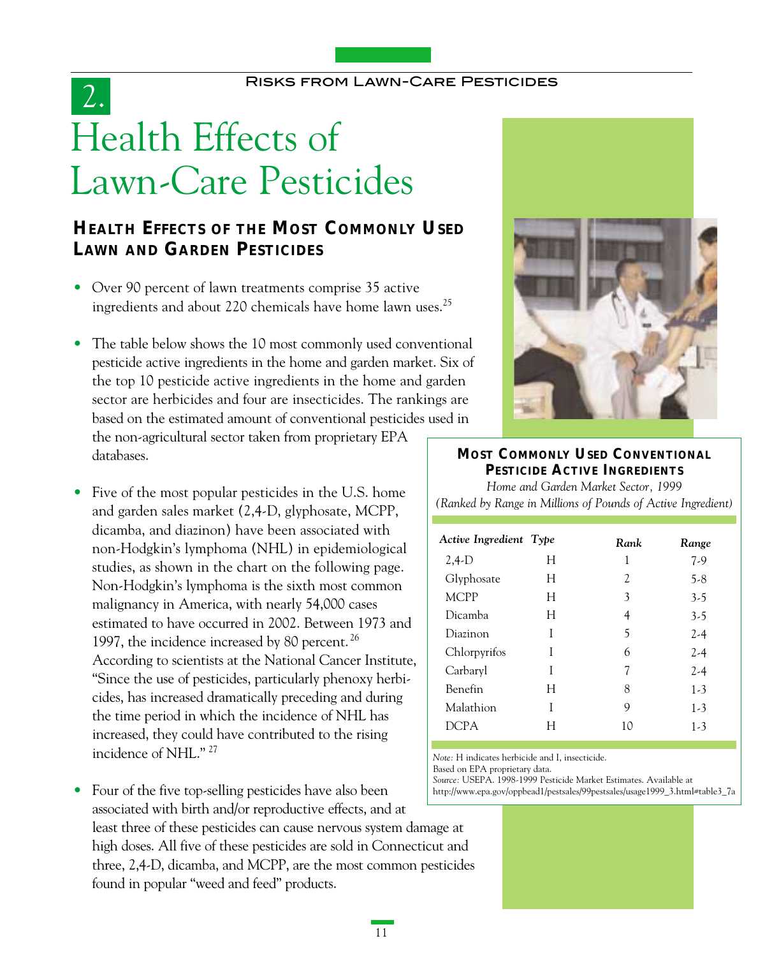# Health Effects of Lawn-Care Pesticides 2.

# **HEALTH EFFECTS OF THE MOST COMMONLY USED LAWN AND GARDEN PESTICIDES**

- Over 90 percent of lawn treatments comprise 35 active ingredients and about 220 chemicals have home lawn uses.25
- The table below shows the 10 most commonly used conventional pesticide active ingredients in the home and garden market. Six of the top 10 pesticide active ingredients in the home and garden sector are herbicides and four are insecticides. The rankings are based on the estimated amount of conventional pesticides used in

the non-agricultural sector taken from proprietary EPA databases.

- Five of the most popular pesticides in the U.S. home and garden sales market (2,4-D, glyphosate, MCPP, dicamba, and diazinon) have been associated with non-Hodgkin's lymphoma (NHL) in epidemiological studies, as shown in the chart on the following page. Non-Hodgkin's lymphoma is the sixth most common malignancy in America, with nearly 54,000 cases estimated to have occurred in 2002. Between 1973 and 1997, the incidence increased by 80 percent. <sup>26</sup> According to scientists at the National Cancer Institute, "Since the use of pesticides, particularly phenoxy herbicides, has increased dramatically preceding and during the time period in which the incidence of NHL has increased, they could have contributed to the rising incidence of NHL." <sup>27</sup>
- Four of the five top-selling pesticides have also been associated with birth and/or reproductive effects, and at least three of these pesticides can cause nervous system damage at high doses. All five of these pesticides are sold in Connecticut and three, 2,4-D, dicamba, and MCPP, are the most common pesticides found in popular "weed and feed" products.



## **MOST COMMONLY USED CONVENTIONAL PESTICIDE ACTIVE INGREDIENTS**

*Home and Garden Market Sector, 1999 (Ranked by Range in Millions of Pounds of Active Ingredient)*

| Active Ingredient Type |   | Rank | Range   |
|------------------------|---|------|---------|
| $2,4-D$                | Н | 1    | $7-9$   |
| Glyphosate             | H | 2    | $5-8$   |
| <b>MCPP</b>            | Н | 3    | $3-5$   |
| Dicamba                | H | 4    | $3-5$   |
| Diazinon               | I | 5    | 2-4     |
| Chlorpyrifos           | I | 6    | $2 - 4$ |
| Carbaryl               | I | 7    | $2-4$   |
| Benefin                | Н | 8    | $1-3$   |
| Malathion              | I | 9    | $1 - 3$ |
| DCPA                   |   | 10   | $1 - 3$ |

*Note:* H indicates herbicide and I, insecticide.

Based on EPA proprietary data.

*Source:* USEPA. 1998-1999 Pesticide Market Estimates. Available at http://www.epa.gov/oppbead1/pestsales/99pestsales/usage1999\_3.html#table3\_7a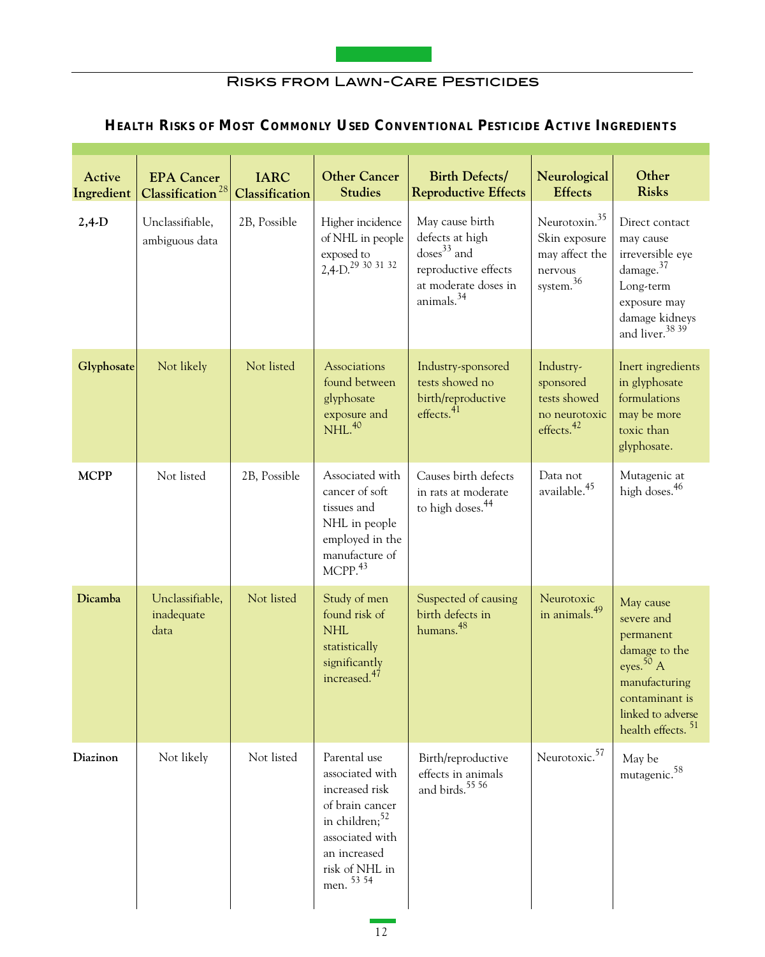

# **HEALTH RISKS OF MOST COMMONLY USED CONVENTIONAL PESTICIDE ACTIVE INGREDIENTS**

| Active<br>Ingredient | <b>EPA</b> Cancer<br>Classification <sup>28</sup> | <b>IARC</b><br>Classification | <b>Other Cancer</b><br><b>Studies</b>                                                                                                                                 | <b>Birth Defects/</b><br><b>Reproductive Effects</b>                                                                          | Neurological<br><b>Effects</b>                                                                  | Other<br><b>Risks</b>                                                                                                                                          |
|----------------------|---------------------------------------------------|-------------------------------|-----------------------------------------------------------------------------------------------------------------------------------------------------------------------|-------------------------------------------------------------------------------------------------------------------------------|-------------------------------------------------------------------------------------------------|----------------------------------------------------------------------------------------------------------------------------------------------------------------|
| $2,4-D$              | Unclassifiable,<br>ambiguous data                 | 2B, Possible                  | Higher incidence<br>of NHL in people<br>exposed to<br>2,4-D. <sup>29</sup> 30 31 32                                                                                   | May cause birth<br>defects at high<br>$doses33$ and<br>reproductive effects<br>at moderate doses in<br>animals. <sup>34</sup> | Neurotoxin. <sup>35</sup><br>Skin exposure<br>may affect the<br>nervous<br>$\,$ system. $^{36}$ | Direct contact<br>may cause<br>irreversible eye<br>damage. <sup>37</sup><br>Long-term<br>exposure may<br>damage kidneys<br>and liver. <sup>38</sup> 39         |
| Glyphosate           | Not likely                                        | Not listed                    | Associations<br>found between<br>glyphosate<br>exposure and<br>NHL <sup>40</sup>                                                                                      | Industry-sponsored<br>tests showed no<br>birth/reproductive<br>effects. <sup>41</sup>                                         | Industry-<br>sponsored<br>tests showed<br>no neurotoxic<br>effects. $42$                        | Inert ingredients<br>in glyphosate<br>formulations<br>may be more<br>toxic than<br>glyphosate.                                                                 |
| <b>MCPP</b>          | Not listed                                        | 2B, Possible                  | Associated with<br>cancer of soft<br>tissues and<br>NHL in people<br>employed in the<br>manufacture of<br>$M$ CPP. $43$                                               | Causes birth defects<br>in rats at moderate<br>to high doses. <sup>44</sup>                                                   | Data not<br>available. <sup>45</sup>                                                            | Mutagenic at<br>high doses. <sup>46</sup>                                                                                                                      |
| Dicamba              | Unclassifiable,<br>inadequate<br>data             | Not listed                    | Study of men<br>found risk of<br><b>NHL</b><br>statistically<br>significantly<br>increased. <sup>47</sup>                                                             | Suspected of causing<br>birth defects in<br>humans. <sup>48</sup>                                                             | Neurotoxic<br>in animals. <sup>49</sup>                                                         | May cause<br>severe and<br>permanent<br>damage to the<br>eyes. $50$ A<br>manufacturing<br>contaminant is<br>linked to adverse<br>health effects. <sup>51</sup> |
| Diazinon             | Not likely                                        | Not listed                    | Parental use<br>associated with<br>increased risk<br>of brain cancer<br>in children; <sup>52</sup><br>associated with<br>an increased<br>risk of NHL in<br>men. 53 54 | Birth/reproductive<br>effects in animals<br>and birds. <sup>55</sup> 56                                                       | Neurotoxic. <sup>57</sup>                                                                       | May be<br>mutagenic. <sup>58</sup>                                                                                                                             |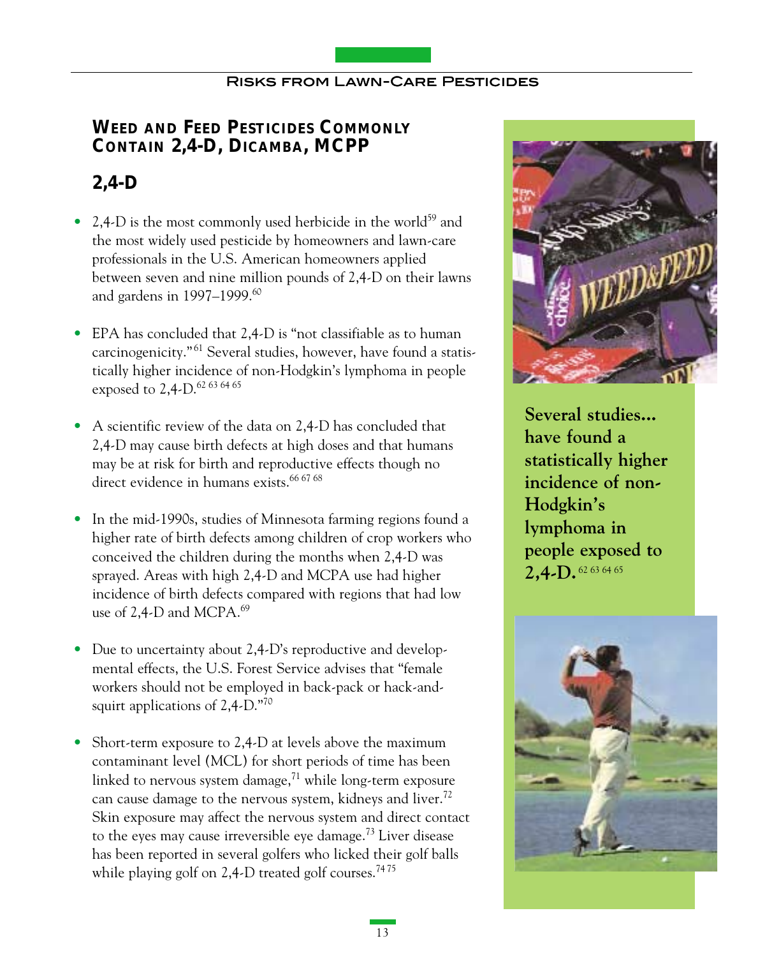# **WEED AND FEED PESTICIDES COMMONLY CONTAIN 2,4-D, DICAMBA, MCPP**

# **2,4-D**

- 2,4-D is the most commonly used herbicide in the world<sup>59</sup> and the most widely used pesticide by homeowners and lawn-care professionals in the U.S. American homeowners applied between seven and nine million pounds of 2,4-D on their lawns and gardens in 1997–1999.<sup>60</sup>
- EPA has concluded that 2,4-D is "not classifiable as to human carcinogenicity."<sup>61</sup> Several studies, however, have found a statistically higher incidence of non-Hodgkin's lymphoma in people exposed to 2,4-D.<sup>62 63 64 65</sup>
- A scientific review of the data on 2,4-D has concluded that 2,4-D may cause birth defects at high doses and that humans may be at risk for birth and reproductive effects though no direct evidence in humans exists.<sup>66 67 68</sup>
- In the mid-1990s, studies of Minnesota farming regions found a higher rate of birth defects among children of crop workers who conceived the children during the months when 2,4-D was sprayed. Areas with high 2,4-D and MCPA use had higher incidence of birth defects compared with regions that had low use of 2,4-D and MCPA.<sup>69</sup>
- Due to uncertainty about 2,4-D's reproductive and developmental effects, the U.S. Forest Service advises that "female workers should not be employed in back-pack or hack-andsquirt applications of 2,4-D."70
- Short-term exposure to 2,4-D at levels above the maximum contaminant level (MCL) for short periods of time has been linked to nervous system damage, $71$  while long-term exposure can cause damage to the nervous system, kidneys and liver.<sup>72</sup> Skin exposure may affect the nervous system and direct contact to the eyes may cause irreversible eye damage.<sup>73</sup> Liver disease has been reported in several golfers who licked their golf balls while playing golf on  $2,4$ -D treated golf courses.<sup>7475</sup>



**Several studies... have found a statistically higher incidence of non-Hodgkin's lymphoma in people exposed to 2,4-D.** 62 63 64 65

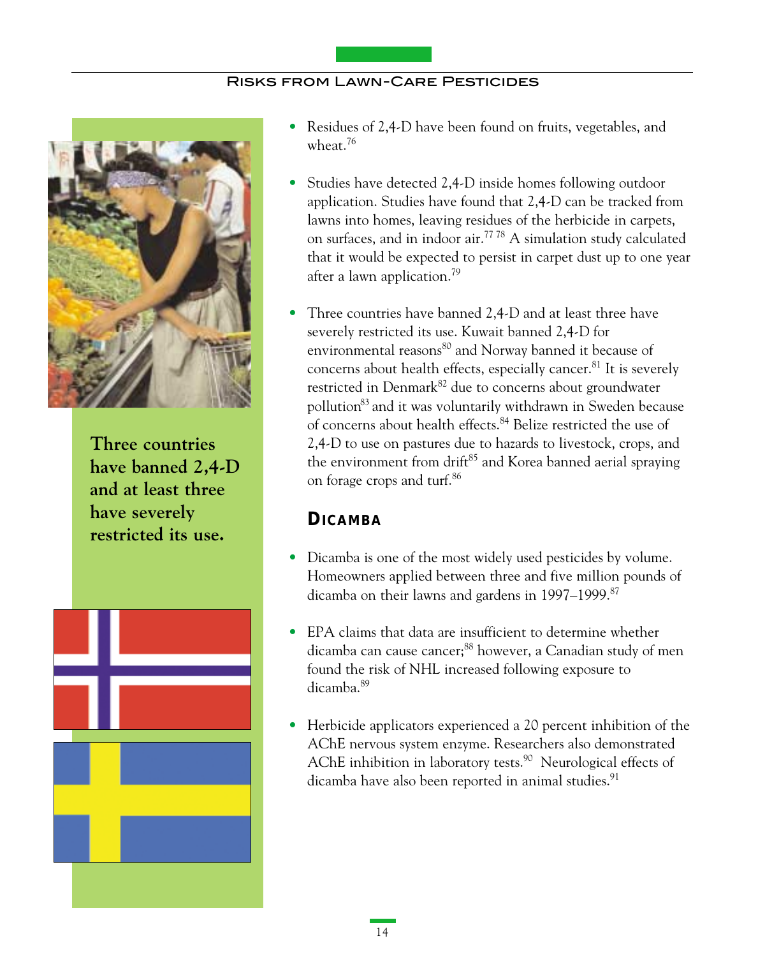

**Three countries have banned 2,4-D and at least three have severely restricted its use.** 



- Residues of 2,4-D have been found on fruits, vegetables, and wheat.76
- Studies have detected 2,4-D inside homes following outdoor application. Studies have found that 2,4-D can be tracked from lawns into homes, leaving residues of the herbicide in carpets, on surfaces, and in indoor air.77 78 A simulation study calculated that it would be expected to persist in carpet dust up to one year after a lawn application.<sup>79</sup>
- Three countries have banned 2,4-D and at least three have severely restricted its use. Kuwait banned 2,4-D for environmental reasons<sup>80</sup> and Norway banned it because of concerns about health effects, especially cancer.<sup>81</sup> It is severely restricted in Denmark<sup>82</sup> due to concerns about groundwater pollution83 and it was voluntarily withdrawn in Sweden because of concerns about health effects.84 Belize restricted the use of 2,4-D to use on pastures due to hazards to livestock, crops, and the environment from drift<sup>85</sup> and Korea banned aerial spraying on forage crops and turf.86

## **DICAMBA**

- Dicamba is one of the most widely used pesticides by volume. Homeowners applied between three and five million pounds of dicamba on their lawns and gardens in 1997–1999.<sup>87</sup>
- EPA claims that data are insufficient to determine whether dicamba can cause cancer;<sup>88</sup> however, a Canadian study of men found the risk of NHL increased following exposure to dicamba.89
- Herbicide applicators experienced a 20 percent inhibition of the AChE nervous system enzyme. Researchers also demonstrated AChE inhibition in laboratory tests.<sup>90</sup> Neurological effects of dicamba have also been reported in animal studies.<sup>91</sup>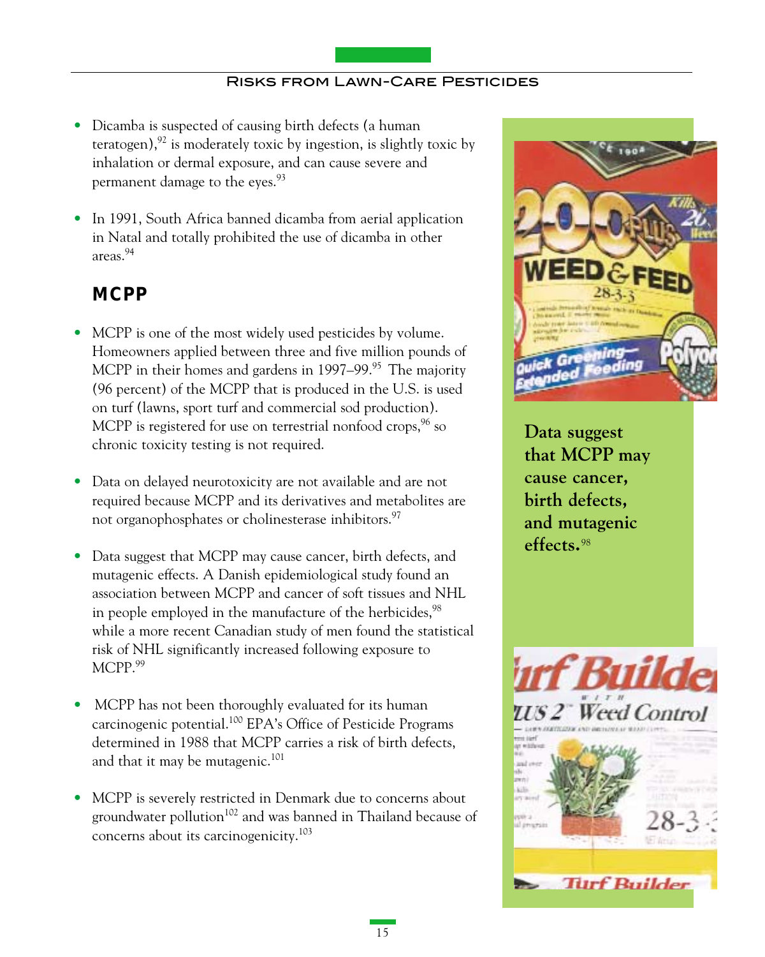- Dicamba is suspected of causing birth defects (a human teratogen), $92$  is moderately toxic by ingestion, is slightly toxic by inhalation or dermal exposure, and can cause severe and permanent damage to the eyes.<sup>93</sup>
- In 1991, South Africa banned dicamba from aerial application in Natal and totally prohibited the use of dicamba in other areas.94

# **MCPP**

- MCPP is one of the most widely used pesticides by volume. Homeowners applied between three and five million pounds of MCPP in their homes and gardens in  $1997-99$ .<sup>95</sup> The majority (96 percent) of the MCPP that is produced in the U.S. is used on turf (lawns, sport turf and commercial sod production). MCPP is registered for use on terrestrial nonfood crops,  $96$  so chronic toxicity testing is not required.
- Data on delayed neurotoxicity are not available and are not required because MCPP and its derivatives and metabolites are not organophosphates or cholinesterase inhibitors.<sup>97</sup>
- Data suggest that MCPP may cause cancer, birth defects, and mutagenic effects. A Danish epidemiological study found an association between MCPP and cancer of soft tissues and NHL in people employed in the manufacture of the herbicides.<sup>98</sup> while a more recent Canadian study of men found the statistical risk of NHL significantly increased following exposure to MCPP.99
- MCPP has not been thoroughly evaluated for its human carcinogenic potential.100 EPA's Office of Pesticide Programs determined in 1988 that MCPP carries a risk of birth defects, and that it may be mutagenic.<sup>101</sup>
- MCPP is severely restricted in Denmark due to concerns about groundwater pollution $102$  and was banned in Thailand because of concerns about its carcinogenicity.103



**Data suggest that MCPP may cause cancer, birth defects, and mutagenic effects.**98

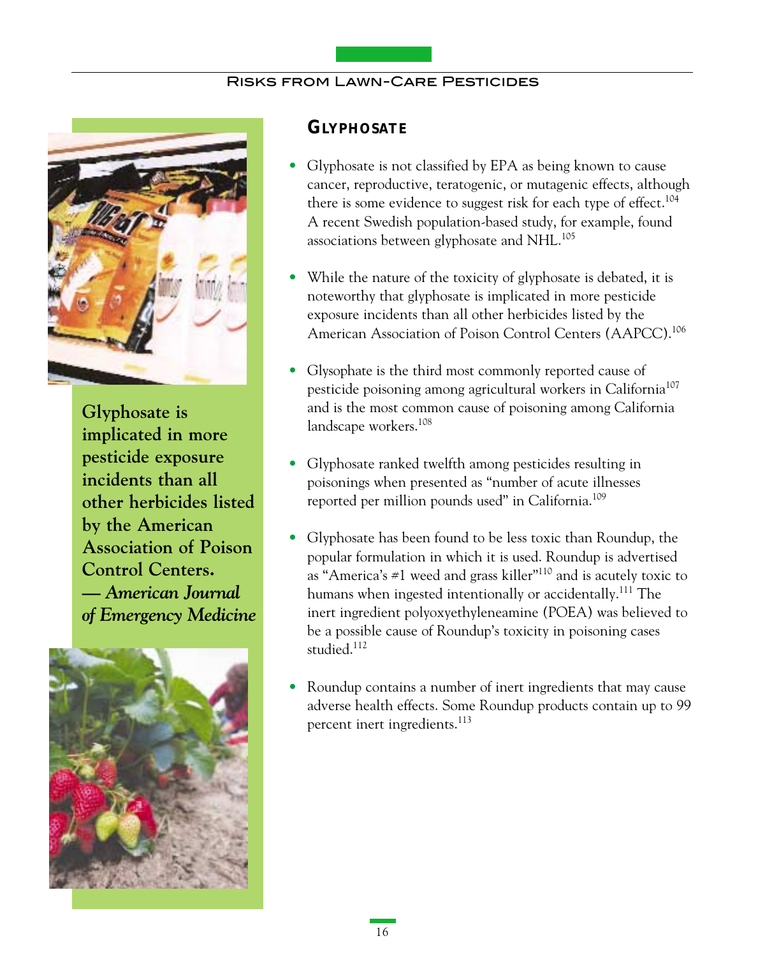

**Glyphosate is implicated in more pesticide exposure incidents than all other herbicides listed by the American Association of Poison Control Centers.** *— American Journal of Emergency Medicine* 



### **GLYPHOSATE**

- Glyphosate is not classified by EPA as being known to cause cancer, reproductive, teratogenic, or mutagenic effects, although there is some evidence to suggest risk for each type of effect.<sup>104</sup> A recent Swedish population-based study, for example, found associations between glyphosate and NHL.<sup>105</sup>
- While the nature of the toxicity of glyphosate is debated, it is noteworthy that glyphosate is implicated in more pesticide exposure incidents than all other herbicides listed by the American Association of Poison Control Centers (AAPCC).106
- Glysophate is the third most commonly reported cause of pesticide poisoning among agricultural workers in California<sup>107</sup> and is the most common cause of poisoning among California landscape workers.108
- Glyphosate ranked twelfth among pesticides resulting in poisonings when presented as "number of acute illnesses reported per million pounds used" in California.<sup>109</sup>
- Glyphosate has been found to be less toxic than Roundup, the popular formulation in which it is used. Roundup is advertised as "America's  $\#1$  weed and grass killer"<sup>110</sup> and is acutely toxic to humans when ingested intentionally or accidentally.<sup>111</sup> The inert ingredient polyoxyethyleneamine (POEA) was believed to be a possible cause of Roundup's toxicity in poisoning cases studied.<sup>112</sup>
- Roundup contains a number of inert ingredients that may cause adverse health effects. Some Roundup products contain up to 99 percent inert ingredients.<sup>113</sup>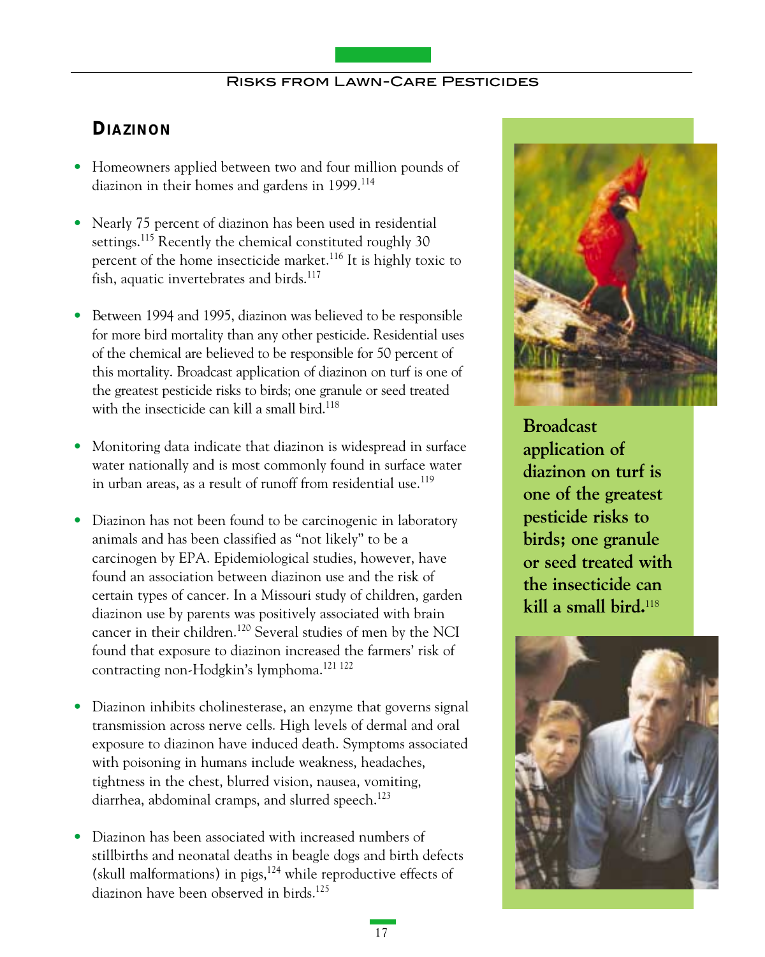# **DIAZINON**

- Homeowners applied between two and four million pounds of diazinon in their homes and gardens in 1999.<sup>114</sup>
- Nearly 75 percent of diazinon has been used in residential settings.<sup>115</sup> Recently the chemical constituted roughly 30 percent of the home insecticide market.<sup>116</sup> It is highly toxic to fish, aquatic invertebrates and birds.<sup>117</sup>
- Between 1994 and 1995, diazinon was believed to be responsible for more bird mortality than any other pesticide. Residential uses of the chemical are believed to be responsible for 50 percent of this mortality. Broadcast application of diazinon on turf is one of the greatest pesticide risks to birds; one granule or seed treated with the insecticide can kill a small bird.<sup>118</sup>
- Monitoring data indicate that diazinon is widespread in surface water nationally and is most commonly found in surface water in urban areas, as a result of runoff from residential use.<sup>119</sup>
- Diazinon has not been found to be carcinogenic in laboratory animals and has been classified as "not likely" to be a carcinogen by EPA. Epidemiological studies, however, have found an association between diazinon use and the risk of certain types of cancer. In a Missouri study of children, garden diazinon use by parents was positively associated with brain cancer in their children.120 Several studies of men by the NCI found that exposure to diazinon increased the farmers' risk of contracting non-Hodgkin's lymphoma.<sup>121 122</sup>
- Diazinon inhibits cholinesterase, an enzyme that governs signal transmission across nerve cells. High levels of dermal and oral exposure to diazinon have induced death. Symptoms associated with poisoning in humans include weakness, headaches, tightness in the chest, blurred vision, nausea, vomiting, diarrhea, abdominal cramps, and slurred speech.<sup>123</sup>
- Diazinon has been associated with increased numbers of stillbirths and neonatal deaths in beagle dogs and birth defects (skull malformations) in pigs, $124$  while reproductive effects of diazinon have been observed in birds.<sup>125</sup>



**Broadcast application of diazinon on turf is one of the greatest pesticide risks to birds; one granule or seed treated with the insecticide can kill a small bird.**118

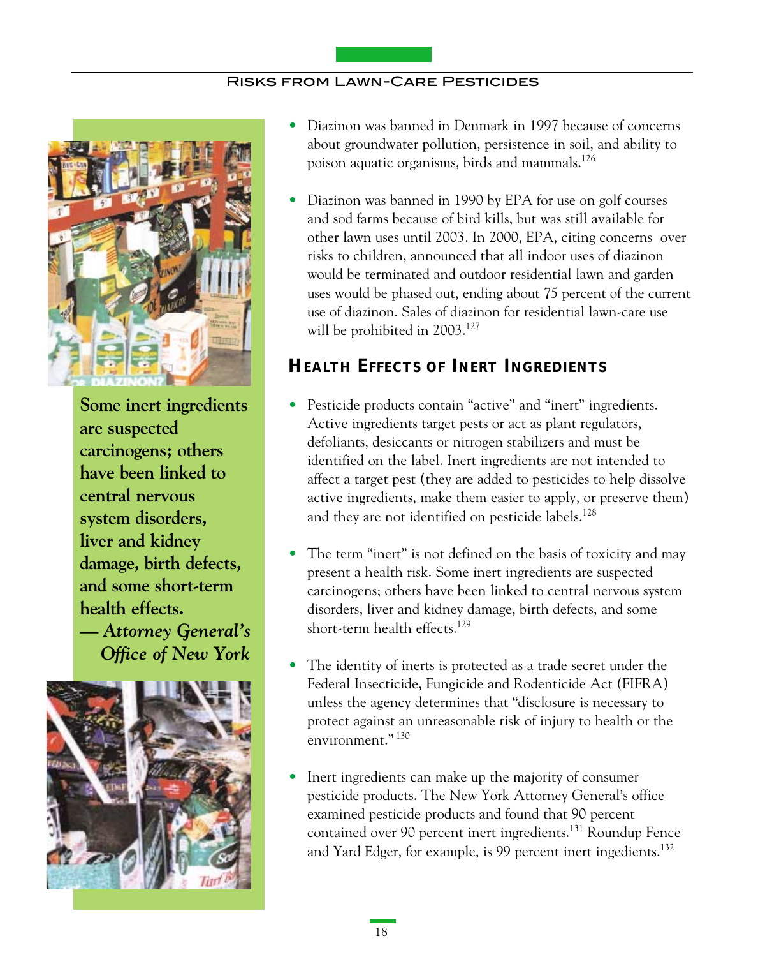

**Some inert ingredients are suspected carcinogens; others have been linked to central nervous system disorders, liver and kidney damage, birth defects, and some short-term health effects. —** *Attorney General's Office of New York*



- Diazinon was banned in Denmark in 1997 because of concerns about groundwater pollution, persistence in soil, and ability to poison aquatic organisms, birds and mammals.126
- Diazinon was banned in 1990 by EPA for use on golf courses and sod farms because of bird kills, but was still available for other lawn uses until 2003. In 2000, EPA, citing concerns over risks to children, announced that all indoor uses of diazinon would be terminated and outdoor residential lawn and garden uses would be phased out, ending about 75 percent of the current use of diazinon. Sales of diazinon for residential lawn-care use will be prohibited in 2003.<sup>127</sup>

## **HEALTH EFFECTS OF INERT INGREDIENTS**

- Pesticide products contain "active" and "inert" ingredients. Active ingredients target pests or act as plant regulators, defoliants, desiccants or nitrogen stabilizers and must be identified on the label. Inert ingredients are not intended to affect a target pest (they are added to pesticides to help dissolve active ingredients, make them easier to apply, or preserve them) and they are not identified on pesticide labels.<sup>128</sup>
- The term "inert" is not defined on the basis of toxicity and may present a health risk. Some inert ingredients are suspected carcinogens; others have been linked to central nervous system disorders, liver and kidney damage, birth defects, and some short-term health effects.<sup>129</sup>
- The identity of inerts is protected as a trade secret under the Federal Insecticide, Fungicide and Rodenticide Act (FIFRA) unless the agency determines that "disclosure is necessary to protect against an unreasonable risk of injury to health or the environment." <sup>130</sup>
- Inert ingredients can make up the majority of consumer pesticide products. The New York Attorney General's office examined pesticide products and found that 90 percent contained over 90 percent inert ingredients.<sup>131</sup> Roundup Fence and Yard Edger, for example, is 99 percent inert ingedients.<sup>132</sup>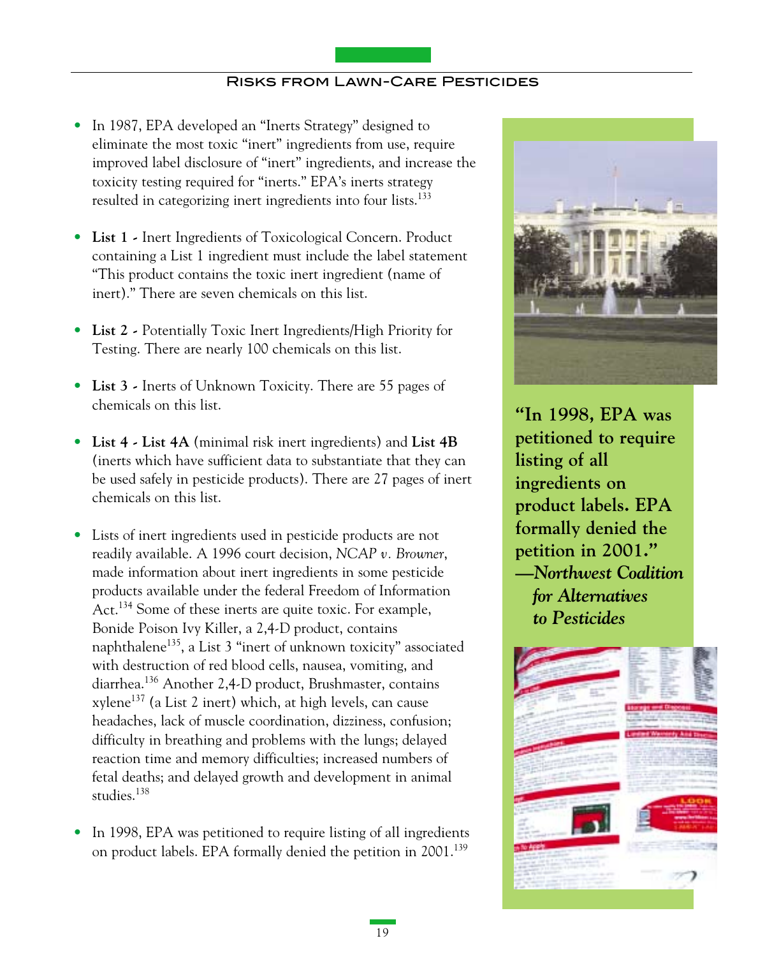- In 1987, EPA developed an "Inerts Strategy" designed to eliminate the most toxic "inert" ingredients from use, require improved label disclosure of "inert" ingredients, and increase the toxicity testing required for "inerts." EPA's inerts strategy resulted in categorizing inert ingredients into four lists.<sup>133</sup>
- **List 1** Inert Ingredients of Toxicological Concern. Product containing a List 1 ingredient must include the label statement "This product contains the toxic inert ingredient (name of inert)." There are seven chemicals on this list.
- **List 2** Potentially Toxic Inert Ingredients/High Priority for Testing. There are nearly 100 chemicals on this list.
- **List 3** Inerts of Unknown Toxicity. There are 55 pages of chemicals on this list.
- **List 4 List 4A** (minimal risk inert ingredients) and **List 4B** (inerts which have sufficient data to substantiate that they can be used safely in pesticide products). There are 27 pages of inert chemicals on this list.
- Lists of inert ingredients used in pesticide products are not readily available. A 1996 court decision, *NCAP v. Browner*, made information about inert ingredients in some pesticide products available under the federal Freedom of Information Act.<sup>134</sup> Some of these inerts are quite toxic. For example, Bonide Poison Ivy Killer, a 2,4-D product, contains naphthalene<sup>135</sup>, a List 3 "inert of unknown toxicity" associated with destruction of red blood cells, nausea, vomiting, and diarrhea.136 Another 2,4-D product, Brushmaster, contains xylene137 (a List 2 inert) which, at high levels, can cause headaches, lack of muscle coordination, dizziness, confusion; difficulty in breathing and problems with the lungs; delayed reaction time and memory difficulties; increased numbers of fetal deaths; and delayed growth and development in animal studies.<sup>138</sup>
- In 1998, EPA was petitioned to require listing of all ingredients on product labels. EPA formally denied the petition in 2001.<sup>139</sup>



**"In 1998, EPA was petitioned to require listing of all ingredients on product labels. EPA formally denied the petition in 2001." —***Northwest Coalition for Alternatives to Pesticides*

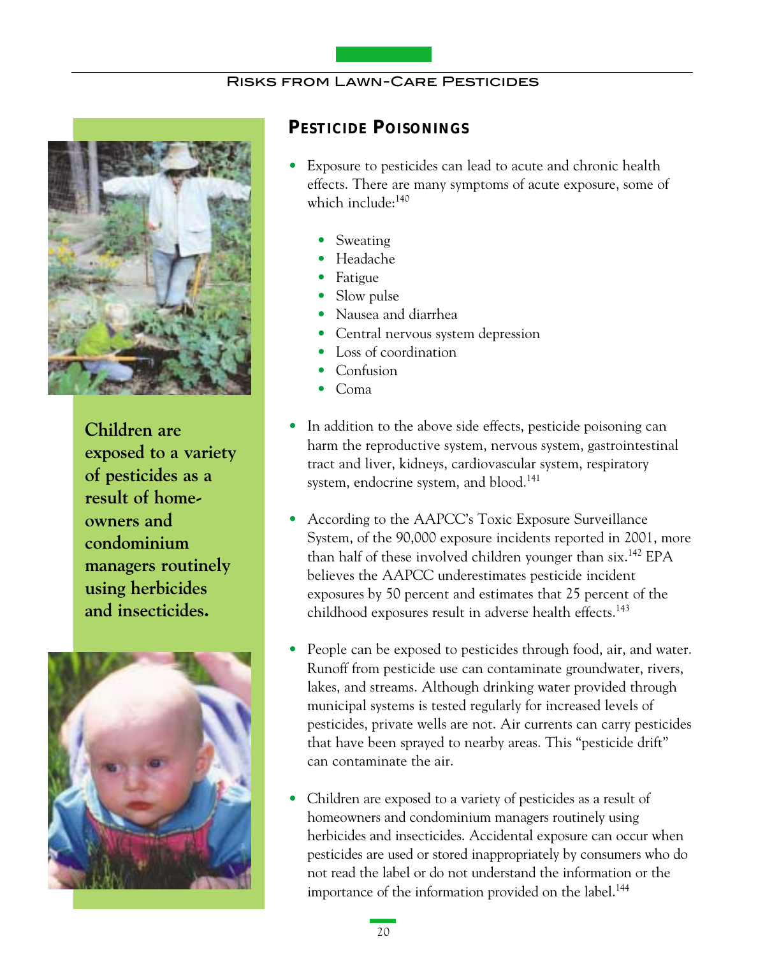

**Children are exposed to a variety of pesticides as a result of homeowners and condominium managers routinely using herbicides and insecticides.** 



## **PESTICIDE POISONINGS**

- Exposure to pesticides can lead to acute and chronic health effects. There are many symptoms of acute exposure, some of which include:<sup>140</sup>
	- Sweating
	- Headache
	- Fatigue
	- Slow pulse
	- Nausea and diarrhea
	- Central nervous system depression
	- Loss of coordination
	- Confusion
	- Coma
- In addition to the above side effects, pesticide poisoning can harm the reproductive system, nervous system, gastrointestinal tract and liver, kidneys, cardiovascular system, respiratory system, endocrine system, and blood.<sup>141</sup>
- According to the AAPCC's Toxic Exposure Surveillance System, of the 90,000 exposure incidents reported in 2001, more than half of these involved children younger than six.<sup>142</sup> EPA believes the AAPCC underestimates pesticide incident exposures by 50 percent and estimates that 25 percent of the childhood exposures result in adverse health effects.<sup>143</sup>
- People can be exposed to pesticides through food, air, and water. Runoff from pesticide use can contaminate groundwater, rivers, lakes, and streams. Although drinking water provided through municipal systems is tested regularly for increased levels of pesticides, private wells are not. Air currents can carry pesticides that have been sprayed to nearby areas. This "pesticide drift" can contaminate the air.
- Children are exposed to a variety of pesticides as a result of homeowners and condominium managers routinely using herbicides and insecticides. Accidental exposure can occur when pesticides are used or stored inappropriately by consumers who do not read the label or do not understand the information or the importance of the information provided on the label.<sup>144</sup>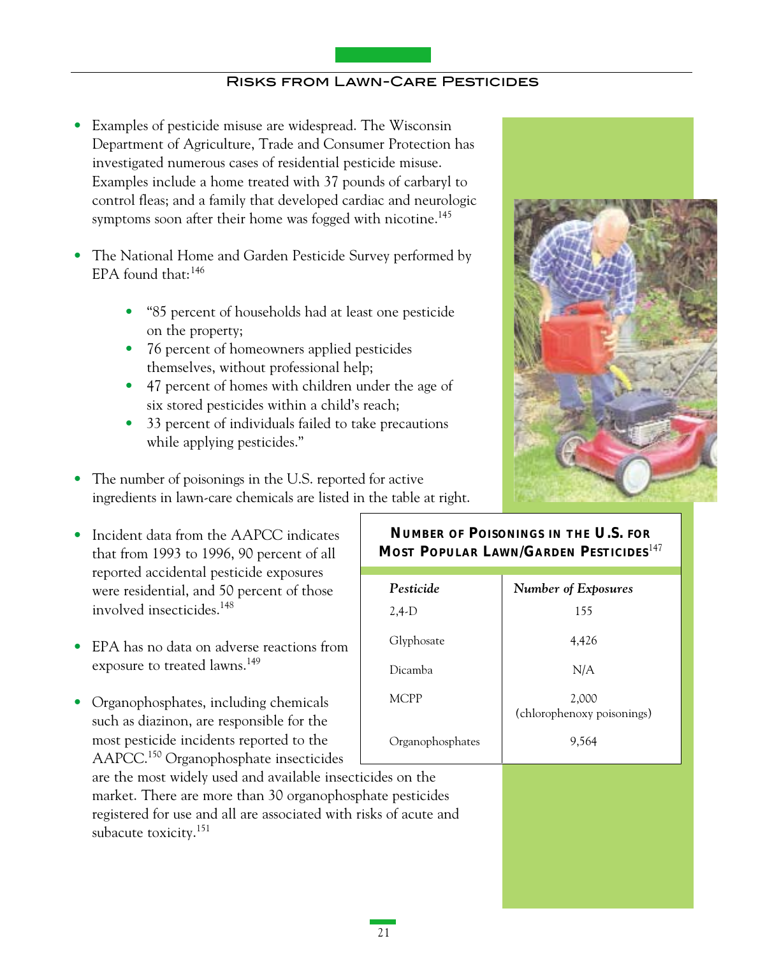- Examples of pesticide misuse are widespread. The Wisconsin Department of Agriculture, Trade and Consumer Protection has investigated numerous cases of residential pesticide misuse. Examples include a home treated with 37 pounds of carbaryl to control fleas; and a family that developed cardiac and neurologic symptoms soon after their home was fogged with nicotine.<sup>145</sup>
- The National Home and Garden Pesticide Survey performed by EPA found that: $146$ 
	- "85 percent of households had at least one pesticide on the property;
	- 76 percent of homeowners applied pesticides themselves, without professional help;
	- 47 percent of homes with children under the age of six stored pesticides within a child's reach;
	- 33 percent of individuals failed to take precautions while applying pesticides."
- The number of poisonings in the U.S. reported for active ingredients in lawn-care chemicals are listed in the table at right.
- Incident data from the AAPCC indicates that from 1993 to 1996, 90 percent of all reported accidental pesticide exposures were residential, and 50 percent of those involved insecticides.148
- EPA has no data on adverse reactions from exposure to treated lawns.<sup>149</sup>
- Organophosphates, including chemicals such as diazinon, are responsible for the most pesticide incidents reported to the AAPCC.<sup>150</sup> Organophosphate insecticides

are the most widely used and available insecticides on the market. There are more than 30 organophosphate pesticides registered for use and all are associated with risks of acute and subacute toxicity.<sup>151</sup>

## **NUMBER OF POISONINGS IN THE U.S. FOR MOST POPULAR LAWN/GARDEN PESTICIDES**<sup>147</sup>

| Pesticide        | <b>Number of Exposures</b>          |
|------------------|-------------------------------------|
| $2,4-D$          | 155                                 |
| Glyphosate       | 4,426                               |
| Dicamba          | N/A                                 |
| MCPP             | 2,000<br>(chlorophenoxy poisonings) |
| Organophosphates | 9.564                               |

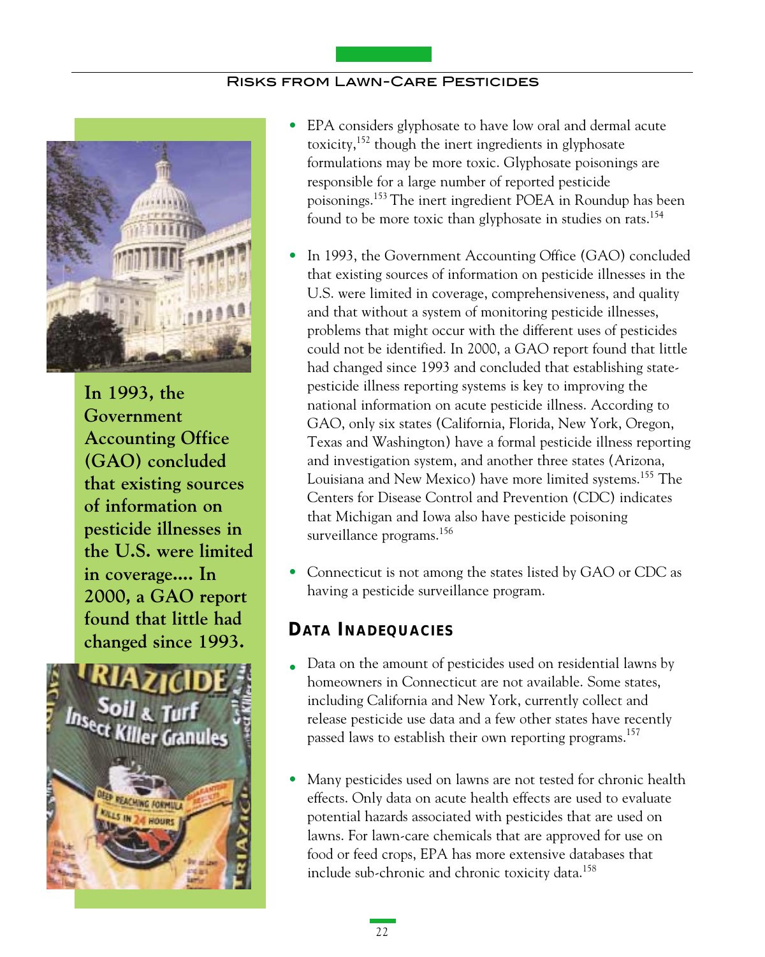

**In 1993, the Government Accounting Office (GAO) concluded that existing sources of information on pesticide illnesses in the U.S. were limited in coverage.... In 2000, a GAO report found that little had changed since 1993.**



- EPA considers glyphosate to have low oral and dermal acute toxicity,152 though the inert ingredients in glyphosate formulations may be more toxic. Glyphosate poisonings are responsible for a large number of reported pesticide poisonings.153 The inert ingredient POEA in Roundup has been found to be more toxic than glyphosate in studies on rats.<sup>154</sup>
- In 1993, the Government Accounting Office (GAO) concluded that existing sources of information on pesticide illnesses in the U.S. were limited in coverage, comprehensiveness, and quality and that without a system of monitoring pesticide illnesses, problems that might occur with the different uses of pesticides could not be identified. In 2000, a GAO report found that little had changed since 1993 and concluded that establishing statepesticide illness reporting systems is key to improving the national information on acute pesticide illness. According to GAO, only six states (California, Florida, New York, Oregon, Texas and Washington) have a formal pesticide illness reporting and investigation system, and another three states (Arizona, Louisiana and New Mexico) have more limited systems.155 The Centers for Disease Control and Prevention (CDC) indicates that Michigan and Iowa also have pesticide poisoning surveillance programs.<sup>156</sup>
- Connecticut is not among the states listed by GAO or CDC as having a pesticide surveillance program.

# **DATA INADEQUACIES**

- Data on the amount of pesticides used on residential lawns by homeowners in Connecticut are not available. Some states, including California and New York, currently collect and release pesticide use data and a few other states have recently passed laws to establish their own reporting programs.<sup>157</sup>
- Many pesticides used on lawns are not tested for chronic health effects. Only data on acute health effects are used to evaluate potential hazards associated with pesticides that are used on lawns. For lawn-care chemicals that are approved for use on food or feed crops, EPA has more extensive databases that include sub-chronic and chronic toxicity data.<sup>158</sup>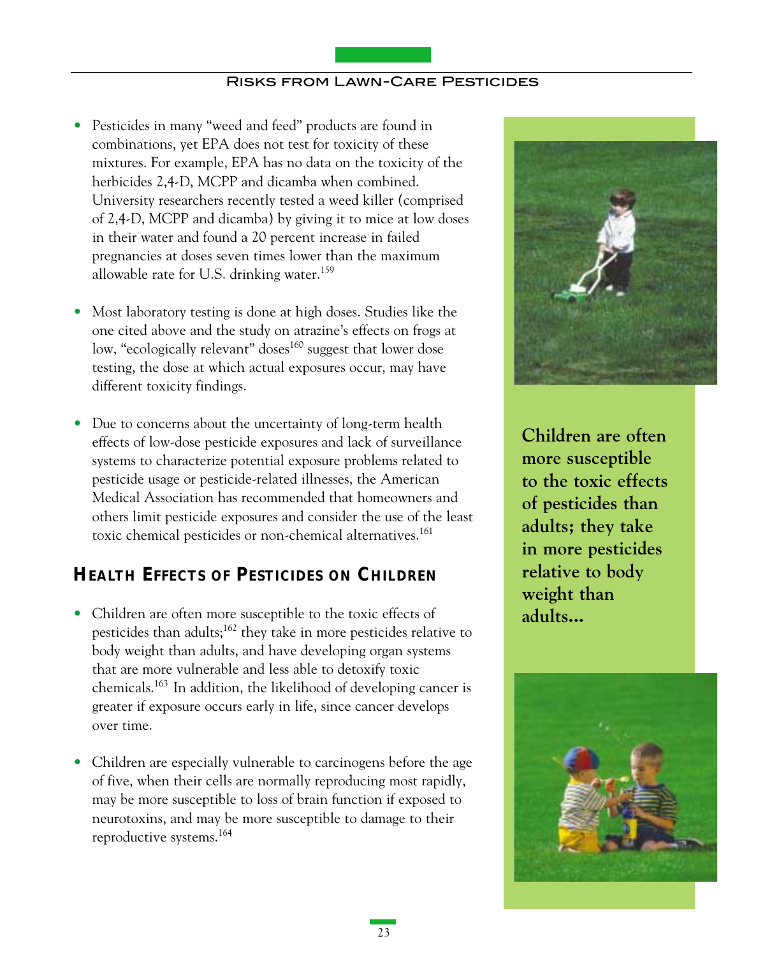- Pesticides in many "weed and feed" products are found in combinations, yet EPA does not test for toxicity of these mixtures. For example, EPA has no data on the toxicity of the herbicides 2,4-D, MCPP and dicamba when combined. University researchers recently tested a weed killer (comprised of 2,4-D, MCPP and dicamba) by giving it to mice at low doses in their water and found a 20 percent increase in failed pregnancies at doses seven times lower than the maximum allowable rate for U.S. drinking water.<sup>159</sup>
- Most laboratory testing is done at high doses. Studies like the one cited above and the study on atrazine's effects on frogs at low, "ecologically relevant" doses<sup>160</sup> suggest that lower dose testing, the dose at which actual exposures occur, may have different toxicity findings.
- Due to concerns about the uncertainty of long-term health effects of low-dose pesticide exposures and lack of surveillance systems to characterize potential exposure problems related to pesticide usage or pesticide-related illnesses, the American Medical Association has recommended that homeowners and others limit pesticide exposures and consider the use of the least toxic chemical pesticides or non-chemical alternatives.<sup>161</sup>

# **HEALTH EFFECTS OF PESTICIDES ON CHILDREN**

- Children are often more susceptible to the toxic effects of pesticides than adults;<sup>162</sup> they take in more pesticides relative to body weight than adults, and have developing organ systems that are more vulnerable and less able to detoxify toxic chemicals.163 In addition, the likelihood of developing cancer is greater if exposure occurs early in life, since cancer develops over time.
- Children are especially vulnerable to carcinogens before the age of five, when their cells are normally reproducing most rapidly, may be more susceptible to loss of brain function if exposed to neurotoxins, and may be more susceptible to damage to their reproductive systems.164



**Children are often more susceptible to the toxic effects of pesticides than adults; they take in more pesticides relative to body weight than adults...**

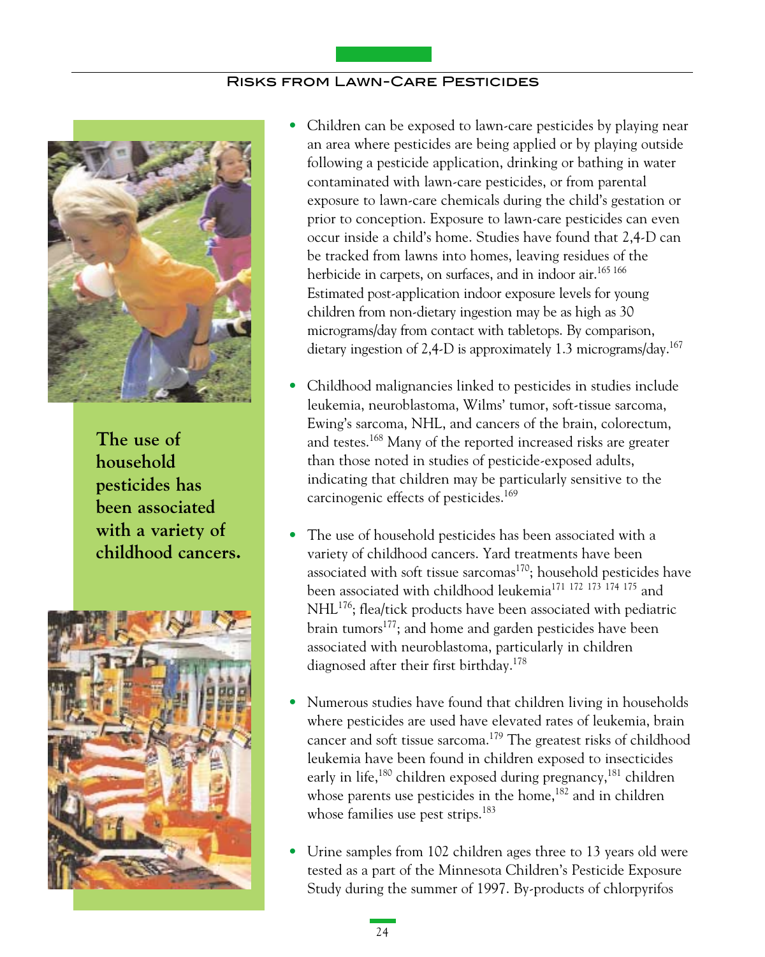

**The use of household pesticides has been associated with a variety of childhood cancers.**



- Children can be exposed to lawn-care pesticides by playing near an area where pesticides are being applied or by playing outside following a pesticide application, drinking or bathing in water contaminated with lawn-care pesticides, or from parental exposure to lawn-care chemicals during the child's gestation or prior to conception. Exposure to lawn-care pesticides can even occur inside a child's home. Studies have found that 2,4-D can be tracked from lawns into homes, leaving residues of the herbicide in carpets, on surfaces, and in indoor air.<sup>165 166</sup> Estimated post-application indoor exposure levels for young children from non-dietary ingestion may be as high as 30 micrograms/day from contact with tabletops. By comparison, dietary ingestion of 2,4-D is approximately 1.3 micrograms/day.<sup>167</sup>
- Childhood malignancies linked to pesticides in studies include leukemia, neuroblastoma, Wilms' tumor, soft-tissue sarcoma, Ewing's sarcoma, NHL, and cancers of the brain, colorectum, and testes.<sup>168</sup> Many of the reported increased risks are greater than those noted in studies of pesticide-exposed adults, indicating that children may be particularly sensitive to the carcinogenic effects of pesticides.<sup>169</sup>
- The use of household pesticides has been associated with a variety of childhood cancers. Yard treatments have been associated with soft tissue sarcomas<sup>170</sup>; household pesticides have been associated with childhood leukemia171 172 173 174175 and NHL176; flea/tick products have been associated with pediatric brain tumors<sup>177</sup>; and home and garden pesticides have been associated with neuroblastoma, particularly in children diagnosed after their first birthday.<sup>178</sup>
- Numerous studies have found that children living in households where pesticides are used have elevated rates of leukemia, brain cancer and soft tissue sarcoma.179 The greatest risks of childhood leukemia have been found in children exposed to insecticides early in life,<sup>180</sup> children exposed during pregnancy,<sup>181</sup> children whose parents use pesticides in the home, $182$  and in children whose families use pest strips.<sup>183</sup>
- Urine samples from 102 children ages three to 13 years old were tested as a part of the Minnesota Children's Pesticide Exposure Study during the summer of 1997. By-products of chlorpyrifos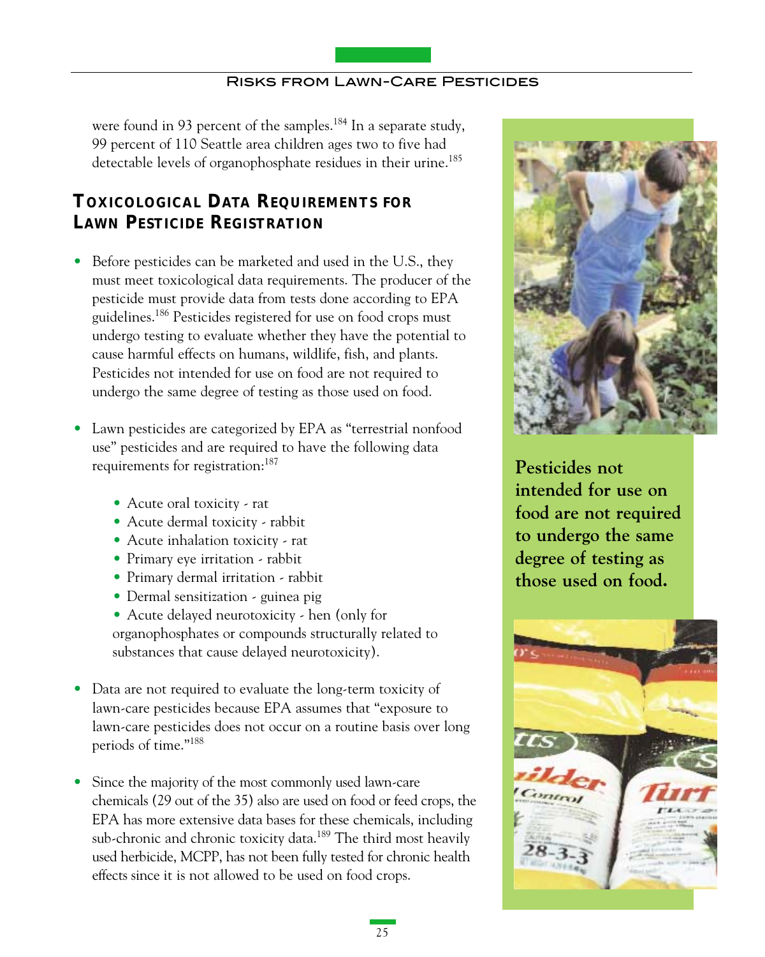were found in 93 percent of the samples.<sup>184</sup> In a separate study, 99 percent of 110 Seattle area children ages two to five had detectable levels of organophosphate residues in their urine.<sup>185</sup>

# **TOXICOLOGICAL DATA REQUIREMENTS FOR LAWN PESTICIDE REGISTRATION**

- Before pesticides can be marketed and used in the U.S., they must meet toxicological data requirements. The producer of the pesticide must provide data from tests done according to EPA guidelines.186 Pesticides registered for use on food crops must undergo testing to evaluate whether they have the potential to cause harmful effects on humans, wildlife, fish, and plants. Pesticides not intended for use on food are not required to undergo the same degree of testing as those used on food.
- Lawn pesticides are categorized by EPA as "terrestrial nonfood use" pesticides and are required to have the following data requirements for registration:<sup>187</sup>
	- Acute oral toxicity rat
	- Acute dermal toxicity rabbit
	- Acute inhalation toxicity rat
	- Primary eye irritation rabbit
	- Primary dermal irritation rabbit
	- Dermal sensitization guinea pig
	- Acute delayed neurotoxicity hen (only for organophosphates or compounds structurally related to substances that cause delayed neurotoxicity).
- Data are not required to evaluate the long-term toxicity of lawn-care pesticides because EPA assumes that "exposure to lawn-care pesticides does not occur on a routine basis over long periods of time."188
- Since the majority of the most commonly used lawn-care chemicals (29 out of the 35) also are used on food or feed crops, the EPA has more extensive data bases for these chemicals, including sub-chronic and chronic toxicity data.<sup>189</sup> The third most heavily used herbicide, MCPP, has not been fully tested for chronic health effects since it is not allowed to be used on food crops.



**Pesticides not intended for use on food are not required to undergo the same degree of testing as those used on food.**

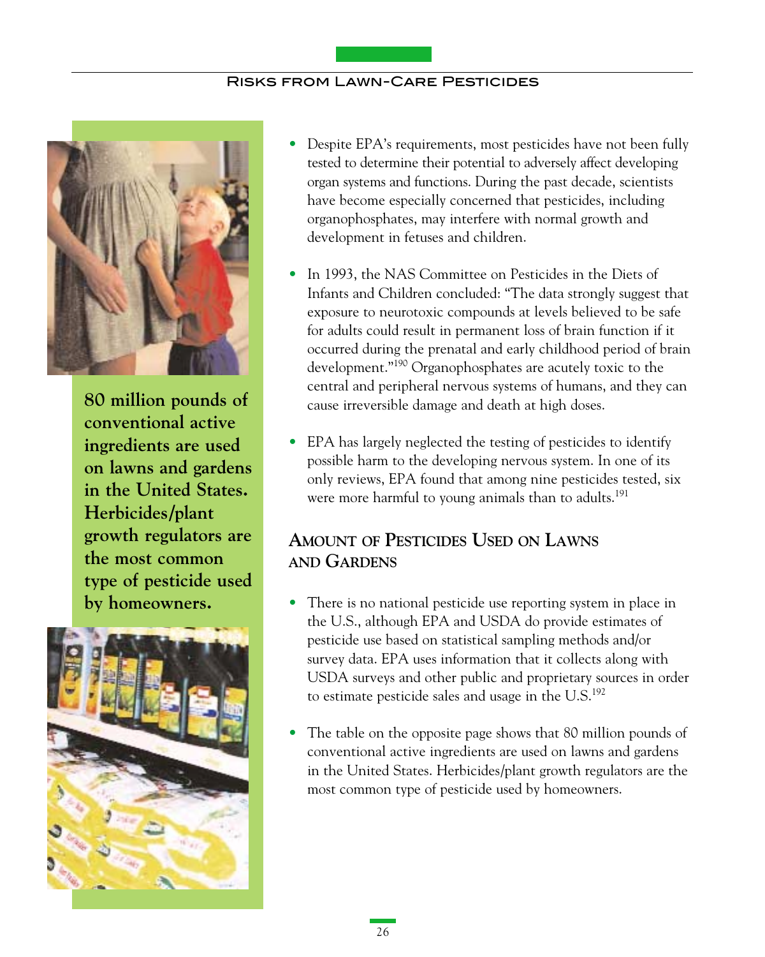

**80 million pounds of conventional active ingredients are used on lawns and gardens in the United States. Herbicides/plant growth regulators are the most common type of pesticide used by homeowners.**



- Despite EPA's requirements, most pesticides have not been fully tested to determine their potential to adversely affect developing organ systems and functions. During the past decade, scientists have become especially concerned that pesticides, including organophosphates, may interfere with normal growth and development in fetuses and children.
- In 1993, the NAS Committee on Pesticides in the Diets of Infants and Children concluded: "The data strongly suggest that exposure to neurotoxic compounds at levels believed to be safe for adults could result in permanent loss of brain function if it occurred during the prenatal and early childhood period of brain development."190 Organophosphates are acutely toxic to the central and peripheral nervous systems of humans, and they can cause irreversible damage and death at high doses.
- EPA has largely neglected the testing of pesticides to identify possible harm to the developing nervous system. In one of its only reviews, EPA found that among nine pesticides tested, six were more harmful to young animals than to adults.<sup>191</sup>

# **AMOUNT OF PESTICIDES USEDON LAWNS AND GARDENS**

- There is no national pesticide use reporting system in place in the U.S., although EPA and USDA do provide estimates of pesticide use based on statistical sampling methods and/or survey data. EPA uses information that it collects along with USDA surveys and other public and proprietary sources in order to estimate pesticide sales and usage in the  $U.S.<sup>192</sup>$
- The table on the opposite page shows that 80 million pounds of conventional active ingredients are used on lawns and gardens in the United States. Herbicides/plant growth regulators are the most common type of pesticide used by homeowners.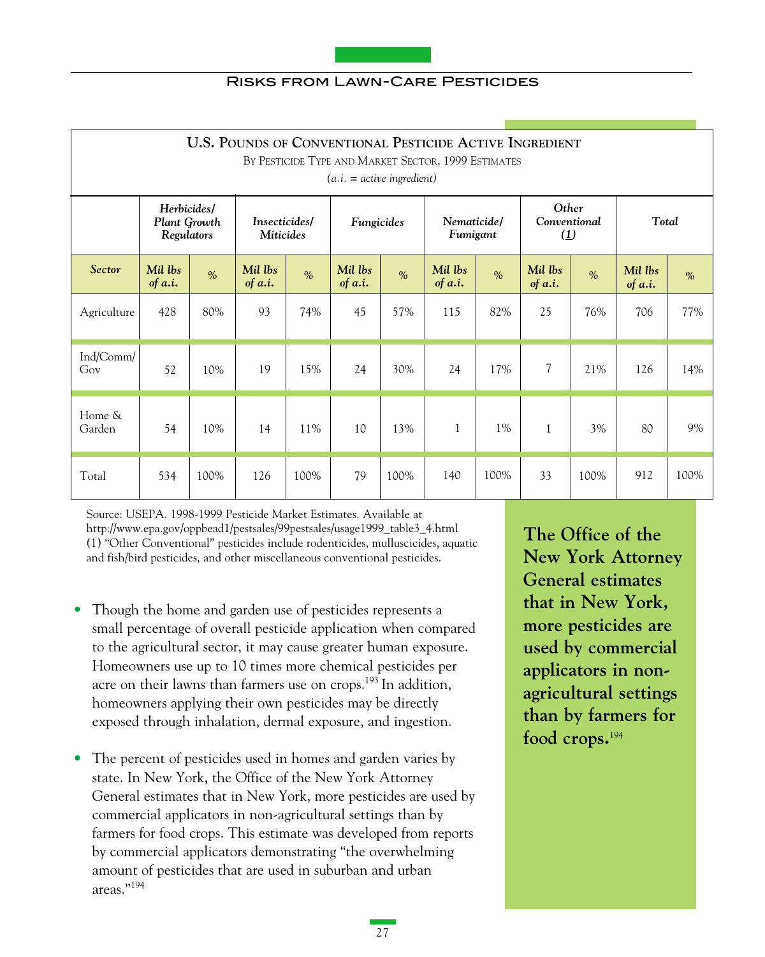

| <b>U.S. POUNDS OF CONVENTIONAL PESTICIDE ACTIVE INGREDIENT</b><br>BY PESTICIDE TYPE AND MARKET SECTOR, 1999 ESTIMATES<br>$(a.i. = active ingredient)$ |                                           |               |                    |                                                                            |                      |               |                                       |               |                          |               |                      |               |
|-------------------------------------------------------------------------------------------------------------------------------------------------------|-------------------------------------------|---------------|--------------------|----------------------------------------------------------------------------|----------------------|---------------|---------------------------------------|---------------|--------------------------|---------------|----------------------|---------------|
|                                                                                                                                                       | Herbicides/<br>Plant Growth<br>Regulators |               |                    | Nematicide/<br>Insecticides/<br>Fungicides<br><b>Miticides</b><br>Fumigant |                      |               | Other<br>Conventional<br>$\mathbf{U}$ |               | Total                    |               |                      |               |
| <b>Sector</b>                                                                                                                                         | Mil lbs<br>of $a.i.$                      | $\frac{0}{0}$ | Mil lbs<br>of a.i. | $\frac{0}{0}$                                                              | Mil lbs<br>of $a.i.$ | $\frac{0}{0}$ | Mil lbs<br>of $a.i.$                  | $\frac{0}{0}$ | Mil lbs<br>of a.i.       | $\frac{0}{0}$ | Mil lbs<br>of $a.i.$ | $\frac{0}{0}$ |
| Agriculture                                                                                                                                           | 428                                       | 80%           | 93                 | 74%                                                                        | 45                   | 57%           | 115                                   | 82%           | 25                       | 76%           | 706                  | 77%           |
| Ind/Comm/<br>Gov                                                                                                                                      | 52                                        | 10%           | 19                 | 15%                                                                        | 24                   | 30%           | 24                                    | 17%           | $\overline{\mathcal{L}}$ | 21%           | 126                  | 14%           |
| Home &<br>Garden                                                                                                                                      | 54                                        | 10%           | 14                 | 11%                                                                        | 10                   | 13%           | 1                                     | 1%            | $\mathbf{1}$             | 3%            | 80                   | 9%            |
| Total                                                                                                                                                 | 534                                       | 100%          | 126                | 100%                                                                       | 79                   | 100%          | 140                                   | 100%          | 33                       | 100%          | 912                  | 100%          |

Source: USEPA. 1998-1999 Pesticide Market Estimates. Available at http://www.epa.gov/oppbead1/pestsales/99pestsales/usage1999\_table3\_4.html (1) "Other Conventional" pesticides include rodenticides, mulluscicides, aquatic and fish/bird pesticides, and other miscellaneous conventional pesticides.

- Though the home and garden use of pesticides represents a small percentage of overall pesticide application when compared to the agricultural sector, it may cause greater human exposure. Homeowners use up to 10 times more chemical pesticides per acre on their lawns than farmers use on crops.<sup>193</sup> In addition, homeowners applying their own pesticides may be directly exposed through inhalation, dermal exposure, and ingestion.
- The percent of pesticides used in homes and garden varies by state. In New York, the Office of the New York Attorney General estimates that in New York, more pesticides are used by commercial applicators in non-agricultural settings than by farmers for food crops. This estimate was developed from reports by commercial applicators demonstrating "the overwhelming amount of pesticides that are used in suburban and urban areas."194

**The Office of the New York Attorney General estimates that in New York, more pesticides are used by commercial applicators in nonagricultural settings than by farmers for food crops.**<sup>194</sup>